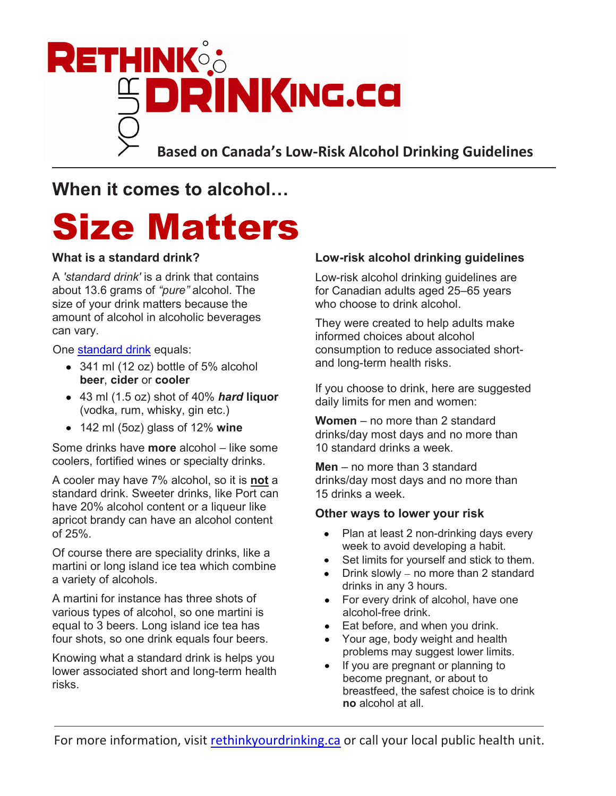

**Based on Canada's Low-Risk Alcohol Drinking Guidelines**

**When it comes to alcohol…**

## Size Matters

### **What is a standard drink?**

A *'standard drink'* is a drink that contains about 13.6 grams of *"pure"* alcohol. The size of your drink matters because the amount of alcohol in alcoholic beverages can vary.

One standard drink equals:

- 341 ml (12 oz) bottle of 5% alcohol **beer**, **cider** or **cooler**
- 43 ml (1.5 oz) shot of 40% *hard* **liquor**  (vodka, rum, whisky, gin etc.)
- 142 ml (5oz) glass of 12% **wine**

Some drinks have **more** alcohol – like some coolers, fortified wines or specialty drinks.

A cooler may have 7% alcohol, so it is **not** a standard drink. Sweeter drinks, like Port can have 20% alcohol content or a liqueur like apricot brandy can have an alcohol content of 25%.

Of course there are speciality drinks, like a martini or long island ice tea which combine a variety of alcohols.

A martini for instance has three shots of various types of alcohol, so one martini is equal to 3 beers. Long island ice tea has four shots, so one drink equals four beers.

Knowing what a standard drink is helps you lower associated short and long-term health risks.

#### **Low-risk alcohol drinking guidelines**

Low-risk alcohol drinking guidelines are for Canadian adults aged 25–65 years who choose to drink alcohol.

They were created to help adults make informed choices about alcohol consumption to reduce associated shortand long-term health risks.

If you choose to drink, here are suggested daily limits for men and women:

**Women** – no more than 2 standard drinks/day most days and no more than 10 standard drinks a week.

**Men** – no more than 3 standard drinks/day most days and no more than 15 drinks a week.

#### **Other ways to lower your risk**

- $\bullet$ Plan at least 2 non-drinking days every week to avoid developing a habit.
- Set limits for yourself and stick to them.  $\bullet$
- Drink slowly no more than 2 standard drinks in any 3 hours.
- For every drink of alcohol, have one  $\bullet$ alcohol-free drink.
- Eat before, and when you drink.
- Your age, body weight and health problems may suggest lower limits.
- If you are pregnant or planning to become pregnant, or about to breastfeed, the safest choice is to drink **no** alcohol at all.